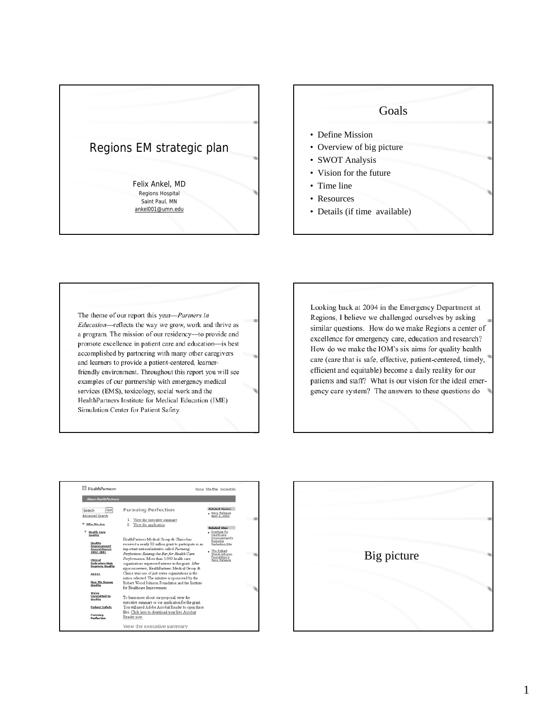

# Goals

- Define Mission
- Overview of big picture
- SWOT Analysis
- Vision for the future
- Time line
- Resources
- Details (if time available)

The theme of our report this year-*Partners in* Education-reflects the way we grow, work and thrive as a program. The mission of our residency-to provide and promote excellence in patient care and education-is best accomplished by partnering with many other caregivers and learners to provide a patient-centered, learnerfriendly environment. Throughout this report you will see examples of our partnership with emergency medical services (EMS), toxicology, social work and the HealthPartners Institute for Medical Education (IME) Simulation Center for Patient Safety.

Looking back at 2004 in the Emergency Department at Regions, I believe we challenged ourselves by asking similar questions. How do we make Regions a center of excellence for emergency care, education and research? How do we make the IOM's six aims for quality health care (care that is safe, effective, patient-centered, timely, efficient and equitable) become a daily reality for our patients and staff? What is our vision for the ideal emergency care system? The answers to these questions do



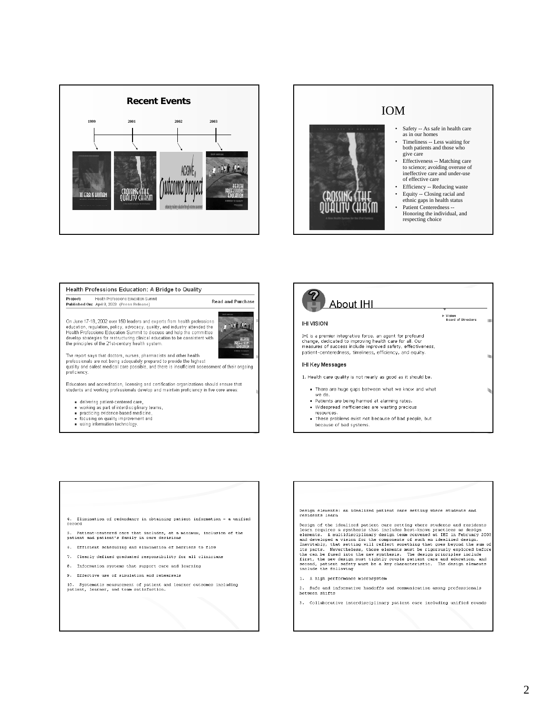



- both patients and those who
- Effectiveness -- Matching care to science; avoiding overuse of ineffective care and under-use
- 
- ethnic gaps in health status
- Honoring the individual, and

## Health Professions Education: A Bridge to Quality Project: Health Professions Education Summit<br>Published On: April 8, 2003 (Press Release) **Read and Purchase** On June 17-18, 2002 over 150 leaders and experts from health professions 1 234 左右右 education, regulation, policy, advocacy, quality, and industry attended the<br>Health Professions Education Summit to discuss and help the committee develop strategies for restructuring clinical education to be consistent with<br>the principles of the 21st-century health system. The report says that doctors, nurses, pharmacists and other health<br>professionals are not being adequately prepared to provide the highest quality and safest medical care possible, and there is insufficient assessment of their ongoing proficiency. Educators and accreditation, licensing and certification organizations should ensure that students and working professionals develop and maintain proficiency in five core areas · delivering patient-centered care, working as part of interdisciplinary teams,<br>practicing evidence-based medicine,

- focusing on quality improvement and
- using information technology.

## About IHI ▶ Vision<br>Board of Directors **IHI VISION** IHI is a premier integrative force, an agent for profound<br>change, dedicated to improving health care for all. Our<br>measures of success include improved safety, effectiveness, patient-centeredness, timeliness, efficiency, and equity. IHI Key Messages 1. Health care quality is not nearly as good as it should be. . There are huge gaps between what we know and what we do. . Patients are being harmed at alarming rates. · Widespread inefficiencies are wasting precious resources. . These problems exist not because of bad people, but because of bad systems.

- 4. Elimination of redundancy in obtaining patient information a unified record
- 5. Patient-centered care that includes, at a minimum, inclusion of the patient and patient's family in care decisions
- 6. Efficient scheduling and elimination of barriers to flow
- 7. Clearly defined graduated responsibility for all clinicians
- 8. Information systems that support care and learning
- 9. Effective use of simulation and rehearsals
- 10. Systematic measurement of patient and learner outcomes including<br>patient, learner, and team satisfaction.

Design elements: an idealized patient care setting where students and residents learn Design of the idealized patient care setting where students and residents<br>learn requires a synthesis that includes best-known practices as design<br>elements. A multidisciplinary design team convened at IHI in February 2003<br>a

1. A high performance microsystem

 $\overline{\mathbf{z}}$ . Safe and informative handoffs and communication among professionals between shifts

3. Collaborative interdisciplinary patient care including unified rounds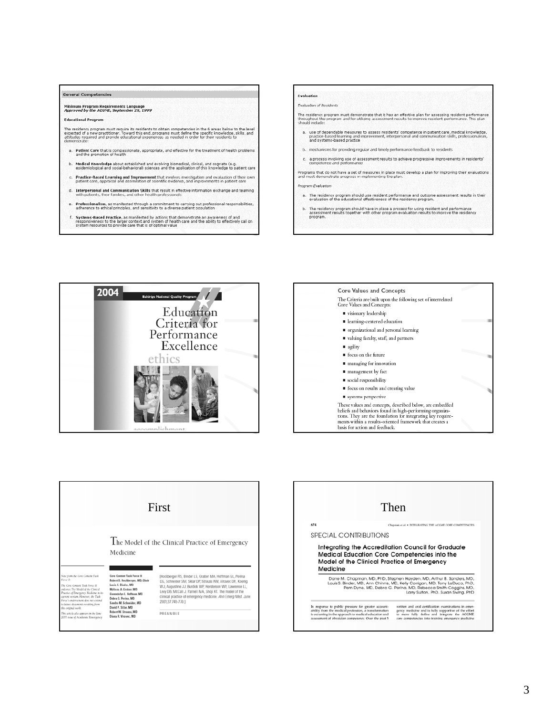

- e. Professionalism, as manifested through a commitment to carrying out professional responsibilities, adherence to ethical principles, and sensitivity to a diverse patient population
- Systems-Based Practice, as manifested by actions that demonstrate an awareness of and<br>responsiveness to the larger context and system of health care and the ability to effectively call on<br>system resources to provide care t

## **Evaluation**

### **Evaluation of Residents**

The residency program must demonstrate that it has an effective plan for assessing resident performance<br>Unroughout the program and for utilizing assessment results to improve resident performance. This plan<br>should indude:

- a. Use of dependable measures to assess residents' competence in patient care, medical knowledge,<br>practice-based learning and improvement, interpersonal and communication skills, professionalism,<br>and systems-based practice
- b. mechanisms for providing regular and timely performance feedback to residents
- c. a process involving use of assessment results to achieve progressive improvements in residents' compotence and performance

Programs that do not have a set of measures in place must develop a plan for improving their evaluations<br>and must demonstrate progress in implementing the plan.

#### Program Evaluation

- a. The residency program should use resident performance and outcome assessment results in their<br>evaluation of the educational effectiveness of the residency program.
- b. The residency program should have in place a process for using resident and performance<br>assessment results together with other program evaluation results to improve the residency<br>program.





|                                                                                                                                                                                                                                                                                                                                                                                    |                                                                                                                                                                                                                                                                                | First                                                                                                                                                                                                                                                                                                                                                                                                |
|------------------------------------------------------------------------------------------------------------------------------------------------------------------------------------------------------------------------------------------------------------------------------------------------------------------------------------------------------------------------------------|--------------------------------------------------------------------------------------------------------------------------------------------------------------------------------------------------------------------------------------------------------------------------------|------------------------------------------------------------------------------------------------------------------------------------------------------------------------------------------------------------------------------------------------------------------------------------------------------------------------------------------------------------------------------------------------------|
| Note from the Core Content Task<br>Force 11:<br>The Core Content Task Force II<br>endorum The Model of the Clinical<br>Practice of Emergency Medicine in its<br>current version. However, the Task<br>Ferge's endorsement does not extend<br>to fature documents resulting from<br>this orietnal work.<br>This article also appears in the June<br>2001 tone of Academic Emergency | Medicine<br>Core Content Task Force II<br>Robert S. Hockberger, MD, Chair<br>Louis S. Binder, MD<br>Mylicca A. Graber, MD<br>Gwendolyn L. Hoffman, MD<br>Debra G. Perina, MD<br>Sandra M. Schneider, MD<br>David P. Sklar, MD<br>Robert W. Strauss, MD<br>Diana R. Virayec, MD | The Model of the Clinical Practice of Emergency<br>[Hockberger RS, Binder LS, Graber MA, Hoffman GL, Perina<br>DG, Schneider SM, Sklar DP, Strauss RW, Viravec DR, Koenig<br>W.J. Augustine J.J. Burdick WP. Henderson WV. Lawrence LL.<br>Lew DB, McCall J, Parnell MA, Shoji KT. The model of the<br>clinical practice of emergency medicine. Ann Emerg Med. June<br>2001:37:745-770.1<br>PREAMBLE |

|          | Then                                                                                                                                                                                                                                                                                                                                  |
|----------|---------------------------------------------------------------------------------------------------------------------------------------------------------------------------------------------------------------------------------------------------------------------------------------------------------------------------------------|
| 674      | Chapman et al. . INTEGRATING THE ACCME CORE COMPETENCIES                                                                                                                                                                                                                                                                              |
|          | SPECIAL CONTRIBUTIONS                                                                                                                                                                                                                                                                                                                 |
|          | Integrating the Accreditation Council for Graduate<br>Medical Education Core Competencies into the<br>Model of the Clinical Practice of Emergency                                                                                                                                                                                     |
| Medicine | Dane M. Chapman, MD, PhD, Stephen Havden, MD, Arthur B. Sanders, MD,<br>Louis S. Binder, MD, Ann Chinnis, MD, Kelly Corrigan, MD, Tony LaDuca, PhD,                                                                                                                                                                                   |
|          | Pam Dyne, MD, Debra G. Perina, MD, Rebecca Smith-Coggins, MD,<br>Larry Sulton, PhD, Susan Swing, PhD                                                                                                                                                                                                                                  |
|          | written and oral certification examinations in emer-<br>In response to public pressure for greater account-<br>ability from the medical profession, a transformation<br>gency medicine and is fully supportive of the effort<br>is occurring in the approach to medical education and<br>to more fully define and integrate the ACGME |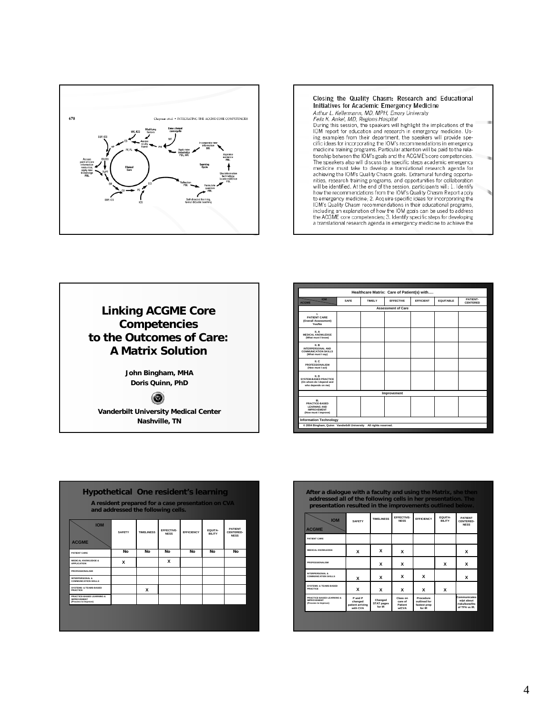





| Healthcare Matrix: Care of Patient(s) with                                                 |      |        |                  |                  |                  |                             |  |
|--------------------------------------------------------------------------------------------|------|--------|------------------|------------------|------------------|-----------------------------|--|
| <b>IOM</b><br><b>ACGME</b>                                                                 | SAFE | TIMELY | <b>FFFFCTIVE</b> | <b>FFFICIENT</b> | <b>EQUITABLE</b> | PATIFNT-<br><b>CENTERED</b> |  |
| <b>Assessment of Care</b>                                                                  |      |        |                  |                  |                  |                             |  |
| L.<br>PATIFNT CARE<br>(Overall Assessment)<br><b>Yes/No</b>                                |      |        |                  |                  |                  |                             |  |
| <b>IL A</b><br><b>MEDICAL KNOWLEDGE</b><br>(What must I know)                              |      |        |                  |                  |                  |                             |  |
| IL R<br>INTERPERSONAL AND<br><b>COMMUNICATION SKILLS</b><br>(What must I say)              |      |        |                  |                  |                  |                             |  |
| IL C<br>PROFESSIONALISM<br>(How must I act)                                                |      |        |                  |                  |                  |                             |  |
| IL D<br><b>SYSTEM-BASED PRACTICE</b><br>(On whom do I depend and<br>who depends on me)     |      |        |                  |                  |                  |                             |  |
| Improvement                                                                                |      |        |                  |                  |                  |                             |  |
| ш.<br>PRACTICE-BASED<br><b>I FARNING AND</b><br><b>IMPROVEMENT</b><br>(How must I improve) |      |        |                  |                  |                  |                             |  |
| <b>Information Technology</b>                                                              |      |        |                  |                  |                  |                             |  |
| @ 2004 Bingham, Quinn Vanderbilt University All rights reserved.                           |      |        |                  |                  |                  |                             |  |
|                                                                                            |      |        |                  |                  |                  |                             |  |

| <b>Hypothetical One resident's learning</b><br>A resident prepared for a case presentation on CVA<br>and addressed the following cells. |               |                    |                           |                   |                          |                                            |
|-----------------------------------------------------------------------------------------------------------------------------------------|---------------|--------------------|---------------------------|-------------------|--------------------------|--------------------------------------------|
| <b>IOM</b><br><b>ACGME</b>                                                                                                              | <b>SAFFTY</b> | <b>TIMEL INESS</b> | FFFFCTIVE-<br><b>NFSS</b> | <b>FFFICIENCY</b> | FOUITA-<br><b>BILITY</b> | <b>PATIFNT</b><br>CENTERED-<br><b>NFSS</b> |
| PATIENT CARE                                                                                                                            | No            | No                 | No                        | No                | No                       | No                                         |
| MEDICAL KNOWLEDGE &<br><b>APPLICATION</b>                                                                                               | x             |                    | x                         |                   |                          |                                            |
| <b>PROFESSIONALISM</b>                                                                                                                  |               |                    |                           |                   |                          |                                            |
| <b>INTERPERSONAL &amp;</b><br><b>COMMUNICATION SKILLS</b>                                                                               |               |                    |                           |                   |                          |                                            |
| SYSTEMS- & TEAMS-BASED<br><b>PRACTICE</b>                                                                                               |               | x                  |                           |                   |                          |                                            |
| PRACTICE-BASED LEARNING &<br><b>IMPROVEMENT</b><br>(Process to Improve)                                                                 |               |                    |                           |                   |                          |                                            |
|                                                                                                                                         |               |                    |                           |                   |                          |                                            |

| addressed all of the following cells in her presentation. The<br>presentation resulted in the improvements outlined below. |                                                    |                                        |                                                |                                                     |                           | After a dialogue with a faculty and using the Matrix, she then       |
|----------------------------------------------------------------------------------------------------------------------------|----------------------------------------------------|----------------------------------------|------------------------------------------------|-----------------------------------------------------|---------------------------|----------------------------------------------------------------------|
| <b>IOM</b><br><b>ACGME</b>                                                                                                 | <b>SAFFTY</b>                                      | <b>TIMELINESS</b>                      | FFFFCTIVF-<br><b>NFSS</b>                      | <b>EFFICIENCY</b>                                   | FOUITA-<br><b>RII ITY</b> | <b>PATIFNT</b><br>CENTERED-<br><b>NFSS</b>                           |
| PATIENT CARE                                                                                                               |                                                    |                                        |                                                |                                                     |                           |                                                                      |
| <b>MEDICAL KNOWLEDGE</b>                                                                                                   | x                                                  | x                                      | x                                              |                                                     |                           | x                                                                    |
| PROFESSIONALISM                                                                                                            |                                                    | x                                      | x                                              |                                                     | x                         | x                                                                    |
| INTERPERSONAL &<br>COMMUNICATION SKILLS                                                                                    | x                                                  | x                                      | x                                              | x                                                   |                           | x                                                                    |
| SYSTEMS, & TEAMS-RASED<br><b>PRACTICE</b>                                                                                  | x                                                  | x                                      | x                                              | x                                                   | x                         |                                                                      |
| PRACTICE-RASED LEARNING &<br><b>IMPROVEMENT</b><br>(Process to Improve)                                                    | P and P<br>changed<br>patient arriving<br>with CVA | Changed<br><b>STAT pages</b><br>for IR | Class on<br>care of<br>Patient<br><b>WICVA</b> | Procedure<br>outlined for<br>fastest prep<br>for IR |                           | Communicates<br>w/ot about<br><b>risks/henefits</b><br>of TPA vs IR. |